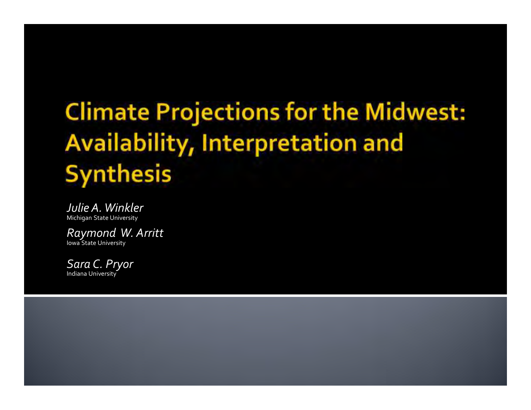# **Climate Projections for the Midwest:** Availability, Interpretation and **Synthesis**

*Julie A. Winkler*Michigan State University

*Raymond W. Arritt*Iowa State University

*Sara C. Pryor*Indiana University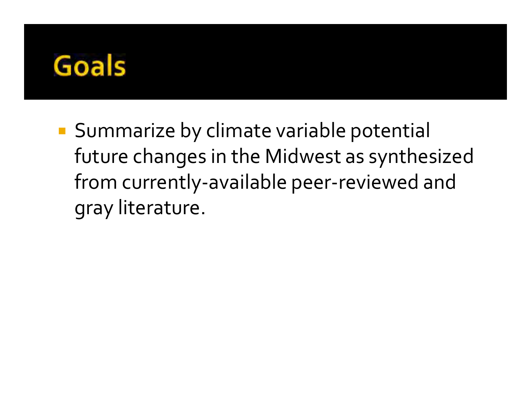

 Summarize by climate variable potential future changes in the Midwest as synthesized from currently-available peer-reviewed and gray literature.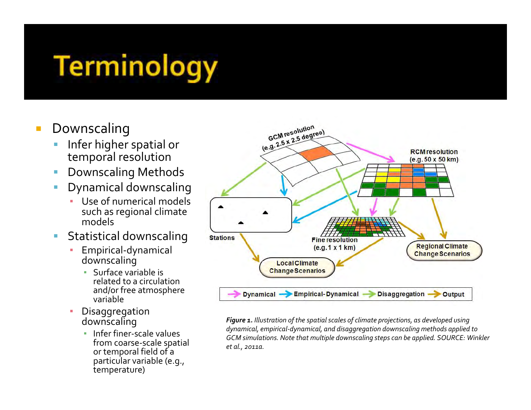# **Terminology**

- Downscaling
	- **Infer higher spatial or** temporal resolution
	- $\mathcal{L}_{\mathcal{A}}$ Downscaling Methods
	- $\mathcal{L}_{\mathcal{A}}$  Dynamical downscaling
		- Use of numerical models such as regional climate models
	- $\mathcal{L}_{\mathrm{c}}$  Statistical downscaling
		- Empirical-dynamical downscaling
			- Surface variable is related to a circulation and/or free atmosphere variable
		- Disaggregation ▪downscaling
			- **·** Infer finer-scale values from coarse-scale spatial or temporal field of a particular variable (e.g., temperature)



*Figure 1. Illustration of the spatial scales of climate projections, as developed using dynamical, empirical-dynamical, and disaggregation downscaling methods applied to GCM simulations. Note that multiple downscaling steps can be applied. SOURCE: Winkler et al., 2011a.*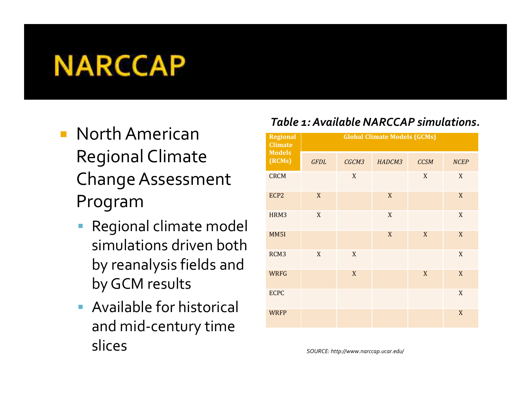# **NARCCAP**

- North American Regional Climate Change Assessment Program
	- Regional climate model simulations driven both by reanalysis fields and by GCM results
	- **Available for historical** and mid-century time slices

#### *Table 1: Available NARCCAP simulations.*

| <b>Regional</b><br><b>Climate</b><br><b>Models</b><br>(RCMs) | <b>Global Climate Models (GCMs)</b> |                  |             |             |                  |
|--------------------------------------------------------------|-------------------------------------|------------------|-------------|-------------|------------------|
|                                                              | <b>GFDL</b>                         | CGCM3            | HADCM3      | <b>CCSM</b> | <b>NCEP</b>      |
| <b>CRCM</b>                                                  |                                     | $\boldsymbol{X}$ |             | X           | $\mathbf X$      |
| ECP <sub>2</sub>                                             | X                                   |                  | X           |             | X                |
| HRM3                                                         | $\mathbf X$                         |                  | $\mathbf X$ |             | X                |
| MM <sub>5I</sub>                                             |                                     |                  | $\mathbf X$ | X           | $\mathbf X$      |
| RCM <sub>3</sub>                                             | $\mathbf X$                         | X                |             |             | X                |
| <b>WRFG</b>                                                  |                                     | X                |             | X           | X                |
| <b>ECPC</b>                                                  |                                     |                  |             |             | X                |
| <b>WRFP</b>                                                  |                                     |                  |             |             | $\boldsymbol{X}$ |

*SOURCE: http://www.narccap.ucar.edu/*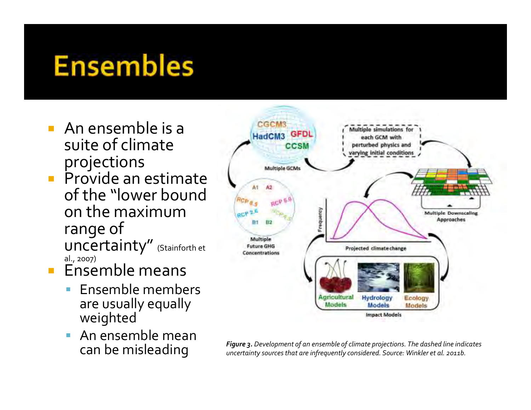# **Ensembles**

- **An ensemble is a** suite of climate projections
- **Provide an estimate** of the "lower bound on the maximum range of uncertainty" (Stainforth et al., 2007)
- **Ensemble means** 
	- $\overline{\phantom{a}}$  Ensemble members are usually equally weighted
	- **An ensemble mean**  $\overline{\phantom{a}}$



**Can be misleading** *Figure 3. Development of an ensemble of climate projections. The dashed line indicates* **Can be mislear integrations** *uncertainty sources that are infrequently considered. Source: Winkler et al. 2011b*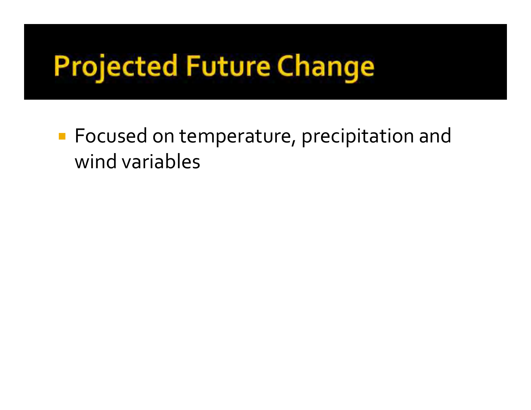# **Projected Future Change**

**Focused on temperature, precipitation and** wind variables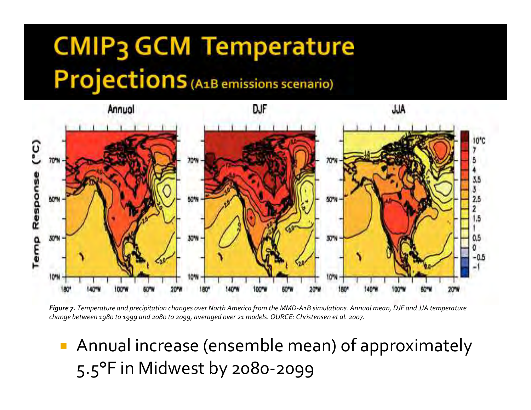# **CMIP3 GCM Temperature** Projections (A1B emissions scenario)





 Annual increase (ensemble mean) of approximately 5.5°F in Midwest by 2080-2099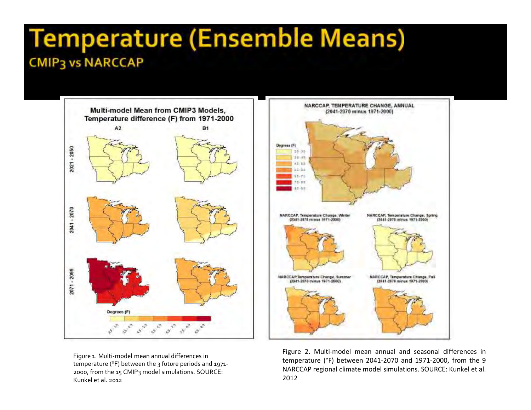#### **Temperature (Ensemble Means) CMIP3 vs NARCCAP**



Figure 1. Multi-model mean annual differences in temperature (°F) between the 3 future periods and 1971-2000, from the 15 CMIP3 model simulations. SOURCE: Kunkel et al. 2012



Figure 2. Multi-model mean annual and seasonal differences in temperature (°F) between 2041-2070 and 1971-2000, from the <sup>9</sup> NARCCAP regional climate model simulations. SOURCE: Kunkel et al. 2012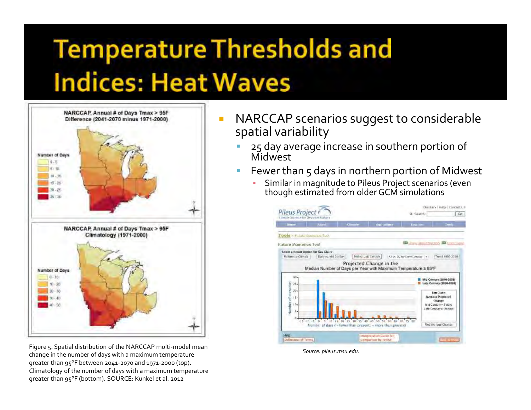# **Temperature Thresholds and Indices: Heat Waves**



Figure 5. Spatial distribution of the NARCCAP multi-model mean change in the number of days with a maximum temperature greater than 95°F between 2041-2070 and 1971-2000 (top). Climatology of the number of days with a maximum temperature greater than 95°F (bottom). SOURCE: Kunkel et al. 2012

- NARCCAP scenarios suggest to considerable spatial variability
	- 25 day average increase in southern portion of Ш Midwest
	- $\overline{\mathbb{R}}$  Fewer than 5 days in northern portion of Midwest
		- ▪ Similar in magnitude to Pileus Project scenarios (even though estimated from older GCM simulations



*Source: pileus.msu.edu.*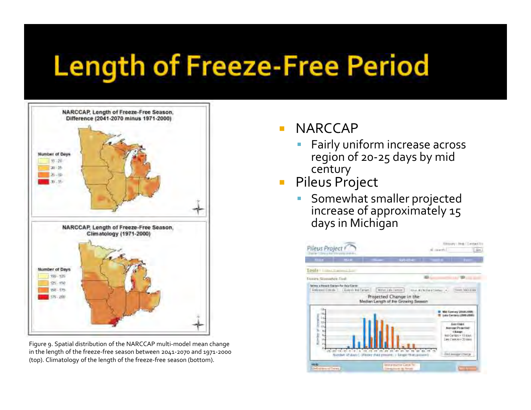# **Length of Freeze-Free Period**



Figure 9. Spatial distribution of the NARCCAP multi-model mean change in the length of the freeze-free season between 2041-2070 and 1971-2000 (top). Climatology of the length of the freeze-free season (bottom).

#### m. NARCCAP

- Fairly uniform increase across region of 20-25 days by mid century
- **Pileus Project**  $\mathcal{L}_{\mathcal{A}}$ 
	- $\overline{\phantom{a}}$  Somewhat smaller projected increase of approximately 15 days in Michigan

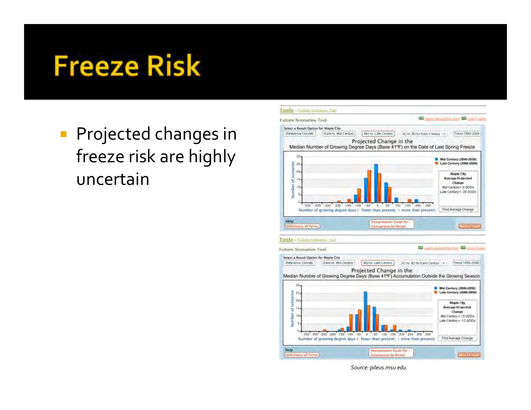# **Freeze Risk**

**Projected changes in** freeze risk are highly uncertain



*Source: pileus.msu.edu.*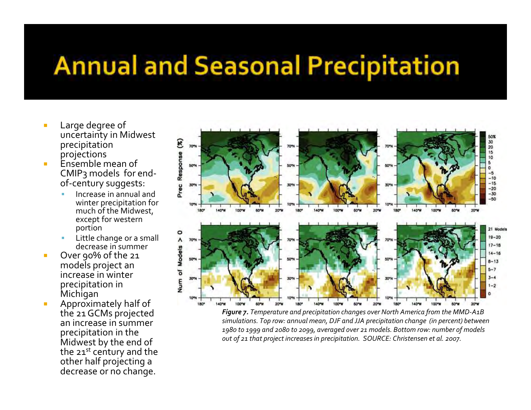### **Annual and Seasonal Precipitation**

- Large degree of uncertainty in Midwest precipitation projections
- $\blacksquare$  Ensemble mean of CMIP3 models for endof-century suggests:
	- Increase in annual and winter precipitation for much of the Midwest, except for western portion
	- **Little change or a small** Ш decrease in summer
- L Over 90% of the 21 models project an increase in winter precipitation in Michigan
- **Approximately half of** L the 21 GCMs projected an increase in summer precipitation in the Midwest by the end of the 21<sup>st</sup> century and the other half projecting a decrease or no change.



*Figure 7. Temperature and precipitation changes over North America from the MMD-A1B simulations. Top row: annual mean, DJF and JJA precipitation change (in percent) between 1980 to 1999 and 2080 to 2099, averaged over 21 models. Bottom row: number of models out of 21 that project increases in precipitation. SOURCE: Christensen et al. 2007.*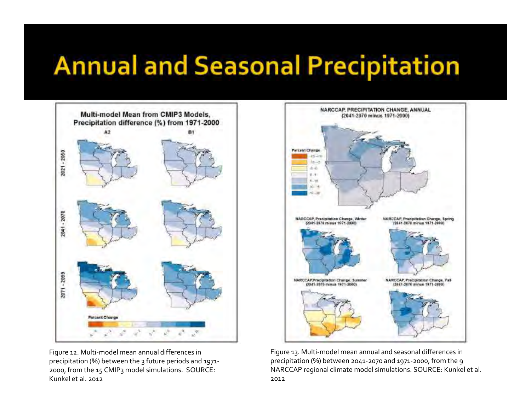## **Annual and Seasonal Precipitation**



Figure 12. Multi-model mean annual differences in precipitation (%) between the 3 future periods and 1971-2000, from the 15 CMIP3 model simulations. SOURCE: Kunkel et al. 2012



Figure 13. Multi-model mean annual and seasonal differences in precipitation (%) between 2041-2070 and 1971-2000, from the 9 NARCCAP regional climate model simulations. SOURCE: Kunkel et al. 2012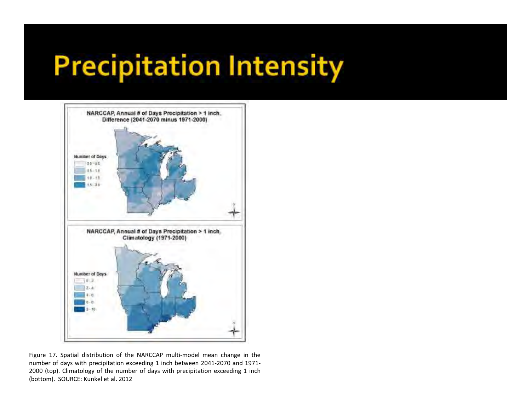# **Precipitation Intensity**



Figure 17. Spatial distribution of the NARCCAP multi-model mean change in the number of days with precipitation exceeding <sup>1</sup> inch between 2041-2070 and 1971- <sup>2000</sup> (top). Climatology of the number of days with precipitation exceeding <sup>1</sup> inch(bottom). SOURCE: Kunkel et al. <sup>2012</sup>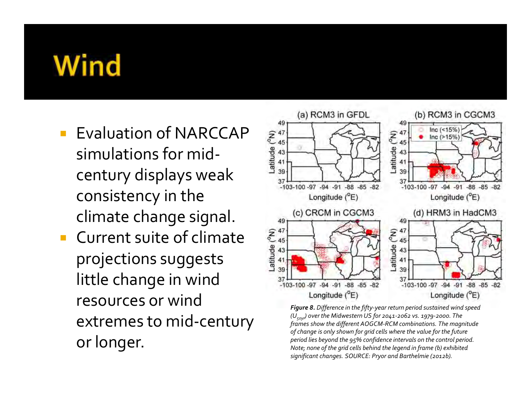# Wind

- Evaluation of NARCCAP simulations for midcentury displays weak consistency in the climate change signal.
- $\overline{\mathcal{A}}$  Current suite of climate projections suggests little change in wind resources or wind extremes to mid-century or longer.



*Figure 8. Difference in the fifty-year return period sustained wind speed (U50yr) over the Midwestern US for 2041-2062 vs. 1979-2000. The frames show the different AOGCM-RCM combinations. The magnitude of change is only shown for grid cells where the value for the future period lies beyond the 95% confidence intervals on the control period. Note; none of the grid cells behind the legend in frame (b) exhibited significant changes. SOURCE: Pryor and Barthelmie (2012b).*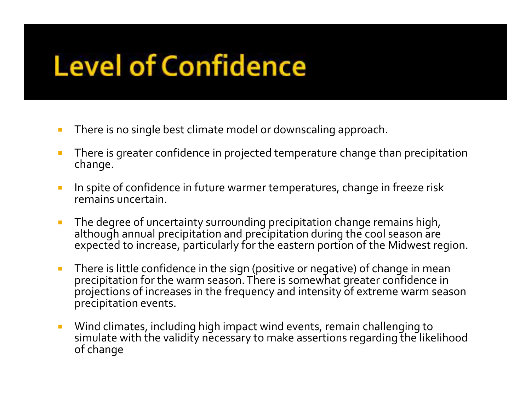# **Level of Confidence**

- × There is no single best climate model or downscaling approach.
- $\overline{\phantom{a}}$  There is greater confidence in projected temperature change than precipitation change.
- $\mathcal{L}_{\mathcal{A}}$  In spite of confidence in future warmer temperatures, change in freeze risk remains uncertain.
- $\mathcal{L}_{\mathcal{A}}$  The degree of uncertainty surrounding precipitation change remains high, although annual precipitation and precipitation during the cool season are expected to increase, particularly for the eastern portion of the Midwest region.
- $\mathbb{R}^n$  There is little confidence in the sign (positive or negative) of change in mean precipitation for the warm season. There is somewhat greater confidence in projections of increases in the frequency and intensity of extreme warm season precipitation events.
- $\mathcal{C}^{\mathcal{A}}$  Wind climates, including high impact wind events, remain challenging to simulate with the validity necessary to make assertions regarding the likelihood of change